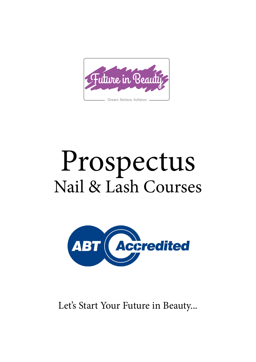

# Prospectus Nail & Lash Courses



### Let's Start Your Future in Beauty...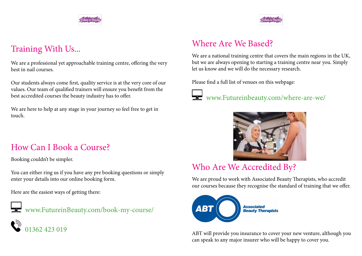### Where Are We Based?

We are a national training centre that covers the main regions in the UK, but we are always opening to starting a training centre near you. Simply let us know and we will do the necessary research.

Please find a full list of venues on this webpage:



www.Futureinbeauty.com/where-are-we/



### Who Are We Accredited By?

We are proud to work with Associated Beauty Therapists, who accredit our courses because they recognise the standard of training that we offer.



ABT will provide you insurance to cover your new venture, although you can speak to any major insurer who will be happy to cover you.



### Training With Us...

We are a professional yet approachable training centre, offering the very best in nail courses.

Our students always come first, quality service is at the very core of our values. Our team of qualified trainers will ensure you benefit from the best accredited courses the beauty industry has to offer.

We are here to help at any stage in your journey so feel free to get in touch.

### How Can I Book a Course?

Booking couldn't be simpler.

You can either ring us if you have any pre booking questions or simply enter your details into our online booking form.

Here are the easiest ways of getting there:



www.FutureinBeauty.com/book-my-course/



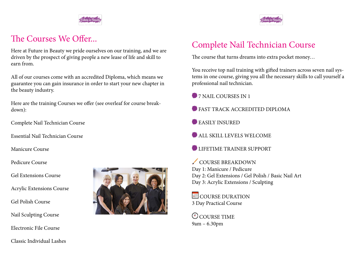

### The Courses We Offer...

Here at Future in Beauty we pride ourselves on our training, and we are driven by the prospect of giving people a new lease of life and skill to earn from.

All of our courses come with an accredited Diploma, which means we guarantee you can gain insurance in order to start your new chapter in the beauty industry.

Here are the training Courses we offer (see overleaf for course breakdown):

Complete Nail Technician Course

- 7 NAIL COURSES IN 1
- FAST TRACK ACCREDITED DIPLOMA
- EASILY INSURED
- ALL SKILL LEVELS WELCOME
- **LIFETIME TRAINER SUPPORT**

Essential Nail Technician Course

Manicure Course

Pedicure Course

Gel Extensions Course

Acrylic Extensions Course

Gel Polish Course

Nail Sculpting Course

COURSE DURATION 3 Day Practical Course

Electronic File Course

**O** COURSE TIME 9am – 6.30pm





Classic Individual Lashes



### Complete Nail Technician Course

The course that turns dreams into extra pocket money…

You receive top nail training with gifted trainers across seven nail systems in one course, giving you all the necessary skills to call yourself a professional nail technician.

 COURSE BREAKDOWN Day 1: Manicure / Pedicure Day 2: Gel Extensions / Gel Polish / Basic Nail Art Day 3: Acrylic Extensions / Sculpting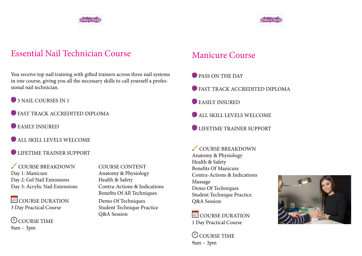



### Essential Nail Technician Course

You receive top nail training with gifted trainers across three nail systems in one course, giving you all the necessary skills to call yourself a professional nail technician.

- 3 NAIL COURSES IN 1
- FAST TRACK ACCREDITED DIPLOMA
- EASILY INSURED
- ALL SKILL LEVELS WELCOME
- LIFETIME TRAINER SUPPORT

Student Technique Practice Q&A Session

COURSE TIME 9am – 3pm

 COURSE BREAKDOWN COURSE CONTENT Day 1: Manicure Anatomy & Physiology Day 2: Gel Nail Extensions Health & Safety Day 3: Acrylic Nail Extensions Contra-Actions & Indications

COURSE DURATION Demo Of Techniques<br>
3 Day Practical Course Student Technique Pr

COURSE BREAKDOWN Anatomy & Physiology Health & Safety Benefits Of Manicure Contra-Actions & Indications Massage Demo Of Techniques Student Technique Practice Q&A Session

**EXECUTE COURSE DURATION** 1 Day Practical Course

O COURSE TIME 9am – 3pm



Benefits Of All Techniques



### Manicure Course

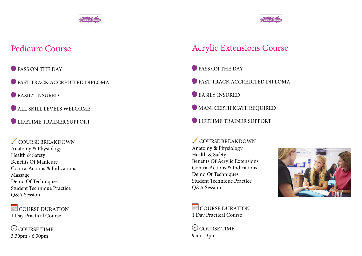

### Pedicure Course

- PASS ON THE DAY
- FAST TRACK ACCREDITED DIPLOMA
- EASILY INSURED
- ALL SKILL LEVELS WELCOME
- LIFETIME TRAINER SUPPORT

COURSE BREAKDOWN Anatomy & Physiology Health & Safety Benefits Of Manicure Contra-Actions & Indications Massage Demo Of Techniques Student Technique Practice Q&A Session

**COURSE DURATION** 1 Day Practical Course

**O** COURSE TIME 3.30pm - 6.30pm

COURSE BREAKDOWN Anatomy & Physiology Health & Safety Benefits Of Acrylic Extensions Contra-Actions & Indications Demo Of Techniques Student Technique Practice Q&A Session

**EDURATION** 1 Day Practical Course

COURSE TIME 9am - 3pm







### Acrylic Extensions Course

- **PASS ON THE DAY**
- FAST TRACK ACCREDITED DIPLOMA
- EASILY INSURED
- **MANI CERTIFICATE REQUIRED**
- **LIFETIME TRAINER SUPPORT**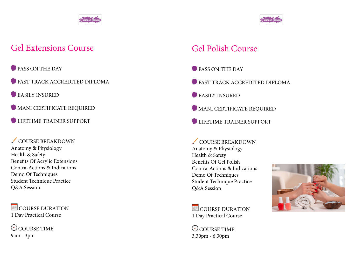

### Gel Extensions Course

- PASS ON THE DAY
- FAST TRACK ACCREDITED DIPLOMA
- EASILY INSURED
- **MANI CERTIFICATE REQUIRED**
- LIFETIME TRAINER SUPPORT

COURSE BREAKDOWN Anatomy & Physiology Health & Safety Benefits Of Acrylic Extensions Contra-Actions & Indications Demo Of Techniques Student Technique Practice Q&A Session

**E** COURSE DURATION 1 Day Practical Course

COURSE TIME 9am - 3pm

- PASS ON THE DAY
- FAST TRACK ACCREDITED DIPLOMA
- **EASILY INSURED**
- **MANI CERTIFICATE REQUIRED**
- LIFETIME TRAINER SUPPORT

COURSE BREAKDOWN Anatomy & Physiology Health & Safety Benefits Of Gel Polish Contra-Actions & Indications Demo Of Techniques Student Technique Practice Q&A Session

**COURSE DURATION** 1 Day Practical Course

**COURSE TIME** 3.30pm - 6.30pm







### Gel Polish Course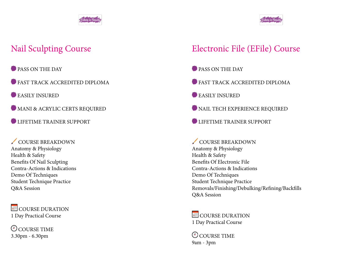

### Nail Sculpting Course

- PASS ON THE DAY
- FAST TRACK ACCREDITED DIPLOMA
- EASILY INSURED
- **MANI & ACRYLIC CERTS REQUIRED**
- LIFETIME TRAINER SUPPORT

COURSE BREAKDOWN Anatomy & Physiology Health & Safety Benefits Of Nail Sculpting Contra-Actions & Indications Demo Of Techniques Student Technique Practice Q&A Session

**COURSE DURATION** 1 Day Practical Course

COURSE TIME 3.30pm - 6.30pm

- PASS ON THE DAY
- FAST TRACK ACCREDITED DIPLOMA
- **EASILY INSURED**
- NAIL TECH EXPERIENCE REQUIRED
- LIFETIME TRAINER SUPPORT

COURSE BREAKDOWN Anatomy & Physiology Health & Safety Benefits Of Electronic File Contra-Actions & Indications Demo Of Techniques Student Technique Practice Removals/Finishing/Debulking/Refining/Backfills Q&A Session

**COURSE DURATION** 1 Day Practical Course

### Electronic File (EFile) Course

**COURSE TIME** 9am - 3pm



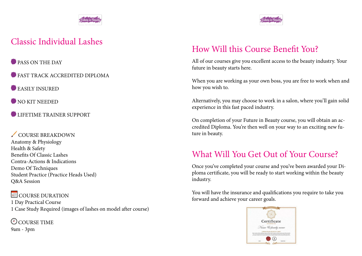# How Will this Course Benefit You?

All of our courses give you excellent access to the beauty industry. Your future in beauty starts here.

When you are working as your own boss, you are free to work when and how you wish to.

Alternatively, you may choose to work in a salon, where you'll gain solid experience in this fast paced industry.

- PASS ON THE DAY
- FAST TRACK ACCREDITED DIPLOMA
- EASILY INSURED
- NO KIT NEEDED
- LIFETIME TRAINER SUPPORT

On completion of your Future in Beauty course, you will obtain an accredited Diploma. You're then well on your way to an exciting new future in beauty.

# What Will You Get Out of Your Course?

### COURSE BREAKDOWN Anatomy & Physiology Health & Safety Benefits Of Classic Lashes Contra-Actions & Indications Demo Of Techniques Student Practice (Practice Heads Used) Q&A Session

Once you've completed your course and you've been awarded your Diploma certificate, you will be ready to start working within the beauty industry.

**EDURATION** 1 Day Practical Course 1 Case Study Required (images of lashes on model after course)

**COURSE TIME** 9am - 3pm

You will have the insurance and qualifications you require to take you forward and achieve your career goals.









### Classic Individual Lashes